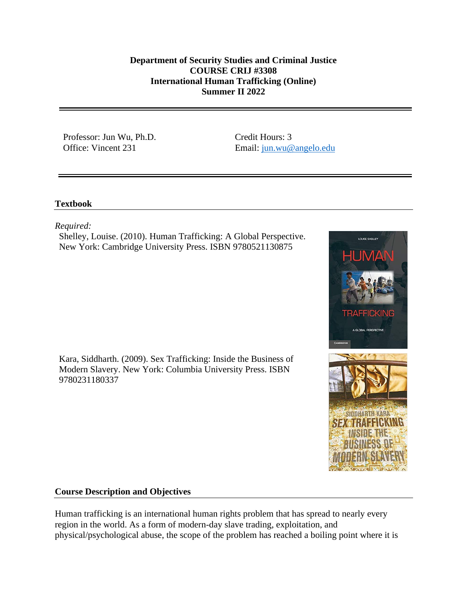## **Department of Security Studies and Criminal Justice COURSE CRIJ #3308 International Human Trafficking (Online) Summer II 2022**

Professor: Jun Wu, Ph.D. Office: Vincent 231

Credit Hours: 3 Email: [jun.wu@angelo.edu](mailto:jun.wu@angelo.edu)

# **Textbook**

*Required:*

Shelley, Louise. (2010). Human Trafficking: A Global Perspective. New York: Cambridge University Press. ISBN 9780521130875

Kara, Siddharth. (2009). Sex Trafficking: Inside the Business of Modern Slavery. New York: Columbia University Press. ISBN 9780231180337



# **Course Description and Objectives**

Human trafficking is an international human rights problem that has spread to nearly every region in the world. As a form of modern-day slave trading, exploitation, and physical/psychological abuse, the scope of the problem has reached a boiling point where it is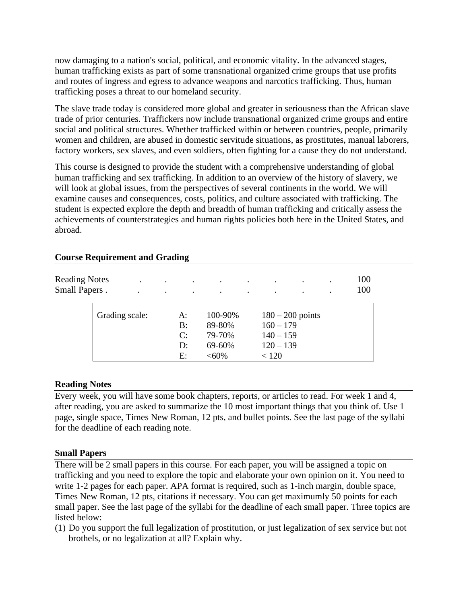now damaging to a nation's social, political, and economic vitality. In the advanced stages, human trafficking exists as part of some transnational organized crime groups that use profits and routes of ingress and egress to advance weapons and narcotics trafficking. Thus, human trafficking poses a threat to our homeland security.

The slave trade today is considered more global and greater in seriousness than the African slave trade of prior centuries. Traffickers now include transnational organized crime groups and entire social and political structures. Whether trafficked within or between countries, people, primarily women and children, are abused in domestic servitude situations, as prostitutes, manual laborers, factory workers, sex slaves, and even soldiers, often fighting for a cause they do not understand.

This course is designed to provide the student with a comprehensive understanding of global human trafficking and sex trafficking. In addition to an overview of the history of slavery, we will look at global issues, from the perspectives of several continents in the world. We will examine causes and consequences, costs, politics, and culture associated with trafficking. The student is expected explore the depth and breadth of human trafficking and critically assess the achievements of counterstrategies and human rights policies both here in the United States, and abroad.

| <b>Reading Notes</b><br><b>Small Papers.</b> | $\bullet$ | $\bullet$<br>$\bullet$ |                            |                                                   | $\cdot$ |                                                    | $\cdot$<br>٠       | 100<br>100 |
|----------------------------------------------|-----------|------------------------|----------------------------|---------------------------------------------------|---------|----------------------------------------------------|--------------------|------------|
| Grading scale:                               |           |                        | A:<br>B:<br>C:<br>D:<br>E: | 100-90%<br>89-80%<br>79-70%<br>69-60%<br>$< 60\%$ |         | $160 - 179$<br>$140 - 159$<br>$120 - 139$<br>< 120 | $180 - 200$ points |            |

### **Course Requirement and Grading**

### **Reading Notes**

Every week, you will have some book chapters, reports, or articles to read. For week 1 and 4, after reading, you are asked to summarize the 10 most important things that you think of. Use 1 page, single space, Times New Roman, 12 pts, and bullet points. See the last page of the syllabi for the deadline of each reading note.

### **Small Papers**

There will be 2 small papers in this course. For each paper, you will be assigned a topic on trafficking and you need to explore the topic and elaborate your own opinion on it. You need to write 1-2 pages for each paper. APA format is required, such as 1-inch margin, double space, Times New Roman, 12 pts, citations if necessary. You can get maximumly 50 points for each small paper. See the last page of the syllabi for the deadline of each small paper. Three topics are listed below:

(1) Do you support the full legalization of prostitution, or just legalization of sex service but not brothels, or no legalization at all? Explain why.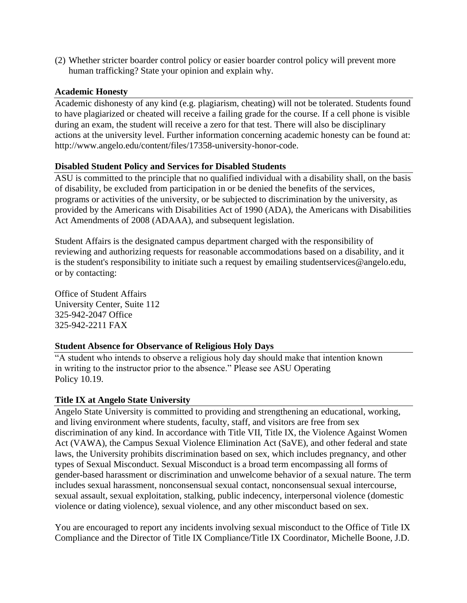(2) Whether stricter boarder control policy or easier boarder control policy will prevent more human trafficking? State your opinion and explain why.

### **Academic Honesty**

Academic dishonesty of any kind (e.g. plagiarism, cheating) will not be tolerated. Students found to have plagiarized or cheated will receive a failing grade for the course. If a cell phone is visible during an exam, the student will receive a zero for that test. There will also be disciplinary actions at the university level. Further information concerning academic honesty can be found at: http://www.angelo.edu/content/files/17358-university-honor-code.

## **Disabled Student Policy and Services for Disabled Students**

ASU is committed to the principle that no qualified individual with a disability shall, on the basis of disability, be excluded from participation in or be denied the benefits of the services, programs or activities of the university, or be subjected to discrimination by the university, as provided by the Americans with Disabilities Act of 1990 (ADA), the Americans with Disabilities Act Amendments of 2008 (ADAAA), and subsequent legislation.

Student Affairs is the designated campus department charged with the responsibility of reviewing and authorizing requests for reasonable accommodations based on a disability, and it is the student's responsibility to initiate such a request by emailing studentservices@angelo.edu, or by contacting:

Office of Student Affairs University Center, Suite 112 325-942-2047 Office 325-942-2211 FAX

# **Student Absence for Observance of Religious Holy Days**

"A student who intends to observe a religious holy day should make that intention known in writing to the instructor prior to the absence." Please see ASU Operating Policy 10.19.

# **Title IX at Angelo State University**

Angelo State University is committed to providing and strengthening an educational, working, and living environment where students, faculty, staff, and visitors are free from sex discrimination of any kind. In accordance with Title VII, Title IX, the Violence Against Women Act (VAWA), the Campus Sexual Violence Elimination Act (SaVE), and other federal and state laws, the University prohibits discrimination based on sex, which includes pregnancy, and other types of Sexual Misconduct. Sexual Misconduct is a broad term encompassing all forms of gender-based harassment or discrimination and unwelcome behavior of a sexual nature. The term includes sexual harassment, nonconsensual sexual contact, nonconsensual sexual intercourse, sexual assault, sexual exploitation, stalking, public indecency, interpersonal violence (domestic violence or dating violence), sexual violence, and any other misconduct based on sex.

You are encouraged to report any incidents involving sexual misconduct to the Office of Title IX Compliance and the Director of Title IX Compliance/Title IX Coordinator, Michelle Boone, J.D.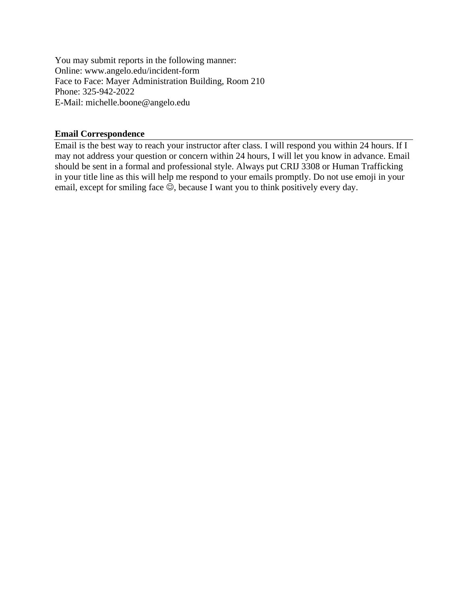You may submit reports in the following manner: Online: www.angelo.edu/incident-form Face to Face: Mayer Administration Building, Room 210 Phone: 325-942-2022 E-Mail: michelle.boone@angelo.edu

### **Email Correspondence**

Email is the best way to reach your instructor after class. I will respond you within 24 hours. If I may not address your question or concern within 24 hours, I will let you know in advance. Email should be sent in a formal and professional style. Always put CRIJ 3308 or Human Trafficking in your title line as this will help me respond to your emails promptly. Do not use emoji in your email, except for smiling face  $\odot$ , because I want you to think positively every day.